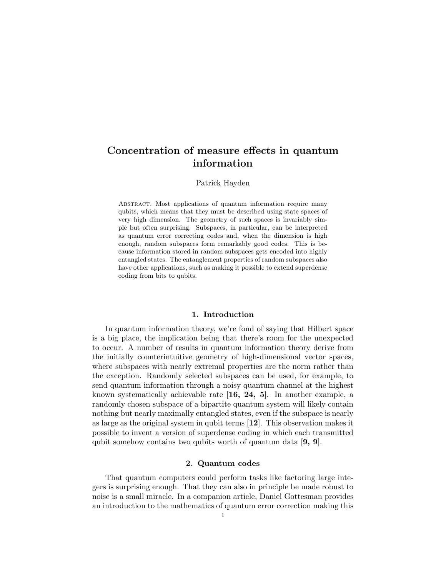# Concentration of measure effects in quantum information

## Patrick Hayden

ABSTRACT. Most applications of quantum information require many qubits, which means that they must be described using state spaces of very high dimension. The geometry of such spaces is invariably simple but often surprising. Subspaces, in particular, can be interpreted as quantum error correcting codes and, when the dimension is high enough, random subspaces form remarkably good codes. This is because information stored in random subspaces gets encoded into highly entangled states. The entanglement properties of random subspaces also have other applications, such as making it possible to extend superdense coding from bits to qubits.

## 1. Introduction

In quantum information theory, we're fond of saying that Hilbert space is a big place, the implication being that there's room for the unexpected to occur. A number of results in quantum information theory derive from the initially counterintuitive geometry of high-dimensional vector spaces, where subspaces with nearly extremal properties are the norm rather than the exception. Randomly selected subspaces can be used, for example, to send quantum information through a noisy quantum channel at the highest known systematically achievable rate [16, 24, 5]. In another example, a randomly chosen subspace of a bipartite quantum system will likely contain nothing but nearly maximally entangled states, even if the subspace is nearly as large as the original system in qubit terms [12]. This observation makes it possible to invent a version of superdense coding in which each transmitted qubit somehow contains two qubits worth of quantum data [9, 9].

## 2. Quantum codes

That quantum computers could perform tasks like factoring large integers is surprising enough. That they can also in principle be made robust to noise is a small miracle. In a companion article, Daniel Gottesman provides an introduction to the mathematics of quantum error correction making this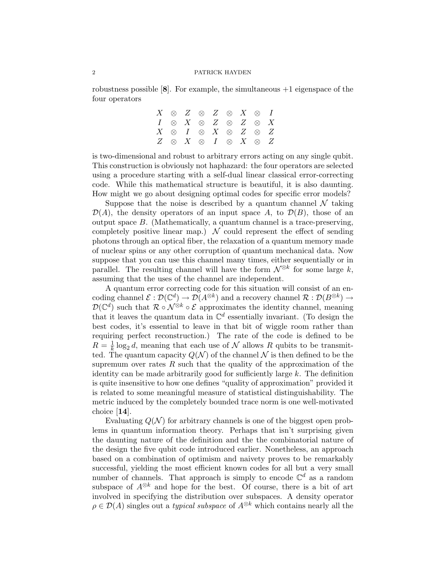robustness possible  $[8]$ . For example, the simultaneous  $+1$  eigenspace of the four operators

|  |  |  | $X \otimes Z \otimes Z \otimes X \otimes I$ |  |
|--|--|--|---------------------------------------------|--|
|  |  |  | $I \otimes X \otimes Z \otimes Z \otimes X$ |  |
|  |  |  | $X \otimes I \otimes X \otimes Z \otimes Z$ |  |
|  |  |  | $Z \otimes X \otimes I \otimes X \otimes Z$ |  |

is two-dimensional and robust to arbitrary errors acting on any single qubit. This construction is obviously not haphazard: the four operators are selected using a procedure starting with a self-dual linear classical error-correcting code. While this mathematical structure is beautiful, it is also daunting. How might we go about designing optimal codes for specific error models?

Suppose that the noise is described by a quantum channel  $\mathcal N$  taking  $\mathcal{D}(A)$ , the density operators of an input space A, to  $\mathcal{D}(B)$ , those of an output space B. (Mathematically, a quantum channel is a trace-preserving, completely positive linear map.)  $\mathcal N$  could represent the effect of sending photons through an optical fiber, the relaxation of a quantum memory made of nuclear spins or any other corruption of quantum mechanical data. Now suppose that you can use this channel many times, either sequentially or in parallel. The resulting channel will have the form  $\mathcal{N}^{\otimes k}$  for some large k, assuming that the uses of the channel are independent.

A quantum error correcting code for this situation will consist of an encoding channel  $\mathcal{E}: \mathcal{D}(\mathbb{C}^d) \to \mathcal{D}(A^{\otimes k})$  and a recovery channel  $\mathcal{R}: \mathcal{D}(B^{\otimes k}) \to$  $\mathcal{D}(\mathbb{C}^d)$  such that  $\mathcal{R} \circ \mathcal{N}^{\otimes k} \circ \mathcal{E}$  approximates the identity channel, meaning that it leaves the quantum data in  $\mathbb{C}^d$  essentially invariant. (To design the best codes, it's essential to leave in that bit of wiggle room rather than requiring perfect reconstruction.) The rate of the code is defined to be  $R=\frac{1}{k}$  $\frac{1}{k} \log_2 d$ , meaning that each use of N allows R qubits to be transmitted. The quantum capacity  $Q(\mathcal{N})$  of the channel  $\mathcal N$  is then defined to be the supremum over rates  $R$  such that the quality of the approximation of the identity can be made arbitrarily good for sufficiently large  $k$ . The definition is quite insensitive to how one defines "quality of approximation" provided it is related to some meaningful measure of statistical distinguishability. The metric induced by the completely bounded trace norm is one well-motivated choice [14].

Evaluating  $Q(N)$  for arbitrary channels is one of the biggest open problems in quantum information theory. Perhaps that isn't surprising given the daunting nature of the definition and the the combinatorial nature of the design the five qubit code introduced earlier. Nonetheless, an approach based on a combination of optimism and naivety proves to be remarkably successful, yielding the most efficient known codes for all but a very small number of channels. That approach is simply to encode  $\mathbb{C}^d$  as a random subspace of  $A^{\otimes k}$  and hope for the best. Of course, there is a bit of art involved in specifying the distribution over subspaces. A density operator  $\rho \in \mathcal{D}(A)$  singles out a *typical subspace* of  $A^{\otimes k}$  which contains nearly all the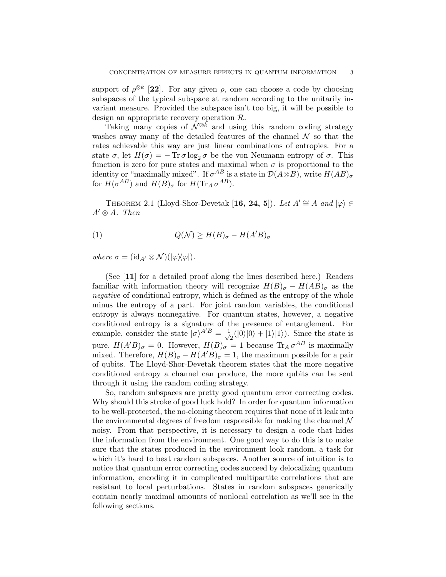support of  $\rho^{\otimes k}$  [22]. For any given  $\rho$ , one can choose a code by choosing subspaces of the typical subspace at random according to the unitarily invariant measure. Provided the subspace isn't too big, it will be possible to design an appropriate recovery operation R.

Taking many copies of  $\mathcal{N}^{\otimes k}$  and using this random coding strategy washes away many of the detailed features of the channel  $\mathcal N$  so that the rates achievable this way are just linear combinations of entropies. For a state  $\sigma$ , let  $H(\sigma) = -\text{Tr}\,\sigma \log_2 \sigma$  be the von Neumann entropy of  $\sigma$ . This function is zero for pure states and maximal when  $\sigma$  is proportional to the identity or "maximally mixed". If  $\sigma^{AB}$  is a state in  $\mathcal{D}(A\otimes B)$ , write  $H(AB)_{\sigma}$ for  $H(\sigma^{AB})$  and  $H(B)_{\sigma}$  for  $H(\text{Tr}_A \sigma^{AB}).$ 

THEOREM 2.1 (Lloyd-Shor-Devetak [16, 24, 5]). Let  $A' \cong A$  and  $|\varphi\rangle \in$  $A' \otimes A$ . Then

(1) 
$$
Q(\mathcal{N}) \ge H(B)_{\sigma} - H(A'B)_{\sigma}
$$

where  $\sigma = (\mathrm{id}_{A} \otimes \mathcal{N}) (|\varphi \rangle \langle \varphi |).$ 

(See [11] for a detailed proof along the lines described here.) Readers familiar with information theory will recognize  $H(B)_{\sigma} - H(AB)_{\sigma}$  as the negative of conditional entropy, which is defined as the entropy of the whole minus the entropy of a part. For joint random variables, the conditional entropy is always nonnegative. For quantum states, however, a negative conditional entropy is a signature of the presence of entanglement. For example, consider the state  $|\sigma\rangle^{A'B} = \frac{1}{\sqrt{2}}$  $\overline{2}(0|0\rangle+|1\rangle|1\rangle)$ . Since the state is pure,  $H(A'B)_{\sigma} = 0$ . However,  $H(B)_{\sigma} = 1$  because  $\text{Tr}_A \sigma^{AB}$  is maximally mixed. Therefore,  $H(B)_{\sigma} - H(A'B)_{\sigma} = 1$ , the maximum possible for a pair of qubits. The Lloyd-Shor-Devetak theorem states that the more negative conditional entropy a channel can produce, the more qubits can be sent through it using the random coding strategy.

So, random subspaces are pretty good quantum error correcting codes. Why should this stroke of good luck hold? In order for quantum information to be well-protected, the no-cloning theorem requires that none of it leak into the environmental degrees of freedom responsible for making the channel  $\mathcal N$ noisy. From that perspective, it is necessary to design a code that hides the information from the environment. One good way to do this is to make sure that the states produced in the environment look random, a task for which it's hard to beat random subspaces. Another source of intuition is to notice that quantum error correcting codes succeed by delocalizing quantum information, encoding it in complicated multipartite correlations that are resistant to local perturbations. States in random subspaces generically contain nearly maximal amounts of nonlocal correlation as we'll see in the following sections.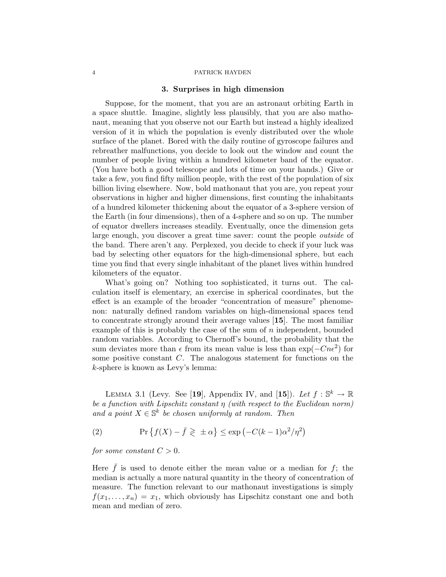## 3. Surprises in high dimension

Suppose, for the moment, that you are an astronaut orbiting Earth in a space shuttle. Imagine, slightly less plausibly, that you are also mathonaut, meaning that you observe not our Earth but instead a highly idealized version of it in which the population is evenly distributed over the whole surface of the planet. Bored with the daily routine of gyroscope failures and rebreather malfunctions, you decide to look out the window and count the number of people living within a hundred kilometer band of the equator. (You have both a good telescope and lots of time on your hands.) Give or take a few, you find fifty million people, with the rest of the population of six billion living elsewhere. Now, bold mathonaut that you are, you repeat your observations in higher and higher dimensions, first counting the inhabitants of a hundred kilometer thickening about the equator of a 3-sphere version of the Earth (in four dimensions), then of a 4-sphere and so on up. The number of equator dwellers increases steadily. Eventually, once the dimension gets large enough, you discover a great time saver: count the people outside of the band. There aren't any. Perplexed, you decide to check if your luck was bad by selecting other equators for the high-dimensional sphere, but each time you find that every single inhabitant of the planet lives within hundred kilometers of the equator.

What's going on? Nothing too sophisticated, it turns out. The calculation itself is elementary, an exercise in spherical coordinates, but the effect is an example of the broader "concentration of measure" phenomenon: naturally defined random variables on high-dimensional spaces tend to concentrate strongly around their average values [15]. The most familiar example of this is probably the case of the sum of  $n$  independent, bounded random variables. According to Chernoff's bound, the probability that the sum deviates more than  $\epsilon$  from its mean value is less than  $\exp(-Cn\epsilon^2)$  for some positive constant C. The analogous statement for functions on the k-sphere is known as Levy's lemma:

LEMMA 3.1 (Levy. See [19], Appendix IV, and [15]). Let  $f : \mathbb{S}^k \to \mathbb{R}$ be a function with Lipschitz constant  $\eta$  (with respect to the Euclidean norm) and a point  $X \in \mathbb{S}^k$  be chosen uniformly at random. Then

(2) 
$$
\Pr\left\{f(X) - \bar{f} \geq \pm \alpha\right\} \leq \exp\left(-C(k-1)\alpha^2/\eta^2\right)
$$

for some constant  $C > 0$ .

Here  $\bar{f}$  is used to denote either the mean value or a median for f; the median is actually a more natural quantity in the theory of concentration of measure. The function relevant to our mathonaut investigations is simply  $f(x_1, \ldots, x_n) = x_1$ , which obviously has Lipschitz constant one and both mean and median of zero.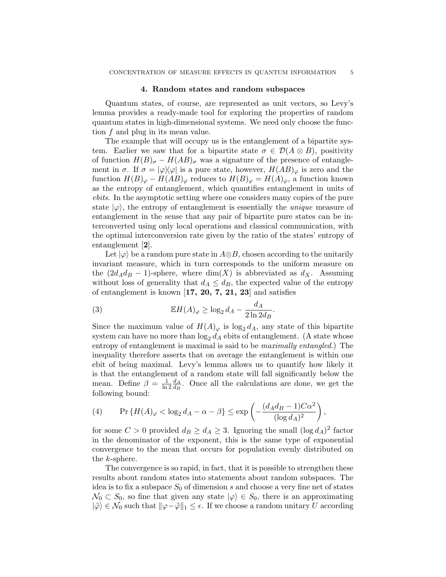#### 4. Random states and random subspaces

Quantum states, of course, are represented as unit vectors, so Levy's lemma provides a ready-made tool for exploring the properties of random quantum states in high-dimensional systems. We need only choose the function f and plug in its mean value.

The example that will occupy us is the entanglement of a bipartite system. Earlier we saw that for a bipartite state  $\sigma \in \mathcal{D}(A \otimes B)$ , positivity of function  $H(B)_{\sigma} - H(AB)_{\sigma}$  was a signature of the presence of entanglement in  $\sigma$ . If  $\sigma = |\varphi\rangle\langle\varphi|$  is a pure state, however,  $H(AB)_{\varphi}$  is zero and the function  $H(B)_{\varphi} - H(AB)_{\varphi}$  reduces to  $H(B)_{\varphi} = H(A)_{\varphi}$ , a function known as the entropy of entanglement, which quantifies entanglement in units of ebits. In the asymptotic setting where one considers many copies of the pure state  $|\varphi\rangle$ , the entropy of entanglement is essentially the *unique* measure of entanglement in the sense that any pair of bipartite pure states can be interconverted using only local operations and classical communication, with the optimal interconversion rate given by the ratio of the states' entropy of entanglement [2].

Let  $|\varphi\rangle$  be a random pure state in  $A\otimes B$ , chosen according to the unitarily invariant measure, which in turn corresponds to the uniform measure on the  $(2d_Ad_B - 1)$ -sphere, where  $\dim(X)$  is abbreviated as  $d_X$ . Assuming without loss of generality that  $d_A \leq d_B$ , the expected value of the entropy of entanglement is known [17, 20, 7, 21, 23] and satisfies

(3) 
$$
\mathbb{E}H(A)_{\varphi} \ge \log_2 d_A - \frac{d_A}{2\ln 2d_B}.
$$

Since the maximum value of  $H(A)_{\varphi}$  is  $\log_2 d_A$ , any state of this bipartite system can have no more than  $\log_2 d_A$  ebits of entanglement. (A state whose entropy of entanglement is maximal is said to be *maximally entangled*.) The inequality therefore asserts that on average the entanglement is within one ebit of being maximal. Levy's lemma allows us to quantify how likely it is that the entanglement of a random state will fall significantly below the mean. Define  $\beta = \frac{1}{\ln n}$  $\frac{1}{\ln 2}\frac{d_A}{d_B}$  $\frac{d_A}{d_B}$ . Once all the calculations are done, we get the following bound:

(4) 
$$
\Pr\left\{H(A)_{\varphi} < \log_2 d_A - \alpha - \beta\right\} \le \exp\left(-\frac{(d_A d_B - 1)C\alpha^2}{(\log d_A)^2}\right),
$$

for some  $C > 0$  provided  $d_B \geq d_A \geq 3$ . Ignoring the small  $(\log d_A)^2$  factor in the denominator of the exponent, this is the same type of exponential convergence to the mean that occurs for population evenly distributed on the k-sphere.

The convergence is so rapid, in fact, that it is possible to strengthen these results about random states into statements about random subspaces. The idea is to fix a subspace  $S_0$  of dimension s and choose a very fine net of states  $\mathcal{N}_0 \subset S_0$ , so fine that given any state  $|\varphi\rangle \in S_0$ , there is an approximating  $|\tilde{\varphi}\rangle \in \mathcal{N}_0$  such that  $\|\varphi-\tilde{\varphi}\|_1 \leq \epsilon$ . If we choose a random unitary U according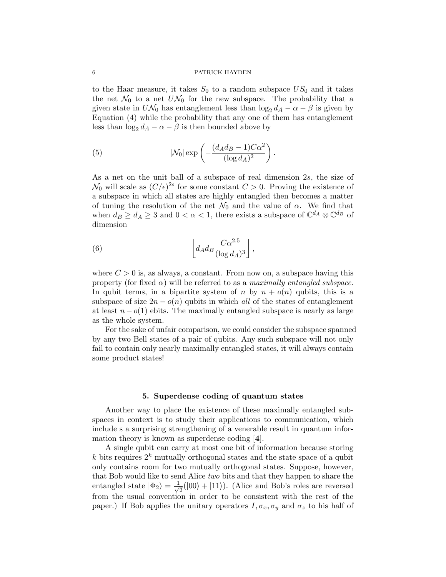to the Haar measure, it takes  $S_0$  to a random subspace  $US_0$  and it takes the net  $\mathcal{N}_0$  to a net  $U\mathcal{N}_0$  for the new subspace. The probability that a given state in  $U\mathcal{N}_0$  has entanglement less than  $\log_2 d_A - \alpha - \beta$  is given by Equation (4) while the probability that any one of them has entanglement less than  $\log_2 d_A - \alpha - \beta$  is then bounded above by

(5) 
$$
|\mathcal{N}_0| \exp\left(-\frac{(d_A d_B - 1)C\alpha^2}{(\log d_A)^2}\right).
$$

As a net on the unit ball of a subspace of real dimension 2s, the size of  $\mathcal{N}_0$  will scale as  $(C/\epsilon)^{2s}$  for some constant  $C > 0$ . Proving the existence of a subspace in which all states are highly entangled then becomes a matter of tuning the resolution of the net  $\mathcal{N}_0$  and the value of  $\alpha$ . We find that when  $d_B \geq d_A \geq 3$  and  $0 < \alpha < 1$ , there exists a subspace of  $\mathbb{C}^{d_A} \otimes \mathbb{C}^{d_B}$  of dimension

(6) 
$$
\left[ d_A d_B \frac{C \alpha^{2.5}}{(\log d_A)^3} \right],
$$

where  $C > 0$  is, as always, a constant. From now on, a subspace having this property (for fixed  $\alpha$ ) will be referred to as a maximally entangled subspace. In qubit terms, in a bipartite system of n by  $n + o(n)$  qubits, this is a subspace of size  $2n - o(n)$  qubits in which all of the states of entanglement at least  $n - o(1)$  ebits. The maximally entangled subspace is nearly as large as the whole system.

For the sake of unfair comparison, we could consider the subspace spanned by any two Bell states of a pair of qubits. Any such subspace will not only fail to contain only nearly maximally entangled states, it will always contain some product states!

## 5. Superdense coding of quantum states

Another way to place the existence of these maximally entangled subspaces in context is to study their applications to communication, which include s a surprising strengthening of a venerable result in quantum information theory is known as superdense coding [4].

A single qubit can carry at most one bit of information because storing k bits requires  $2^k$  mutually orthogonal states and the state space of a qubit only contains room for two mutually orthogonal states. Suppose, however, that Bob would like to send Alice two bits and that they happen to share the entangled state  $|\Phi_2\rangle = \frac{1}{\sqrt{2}}$  $\frac{1}{2}(|00\rangle + |11\rangle)$ . (Alice and Bob's roles are reversed from the usual convention in order to be consistent with the rest of the paper.) If Bob applies the unitary operators  $I, \sigma_x, \sigma_y$  and  $\sigma_z$  to his half of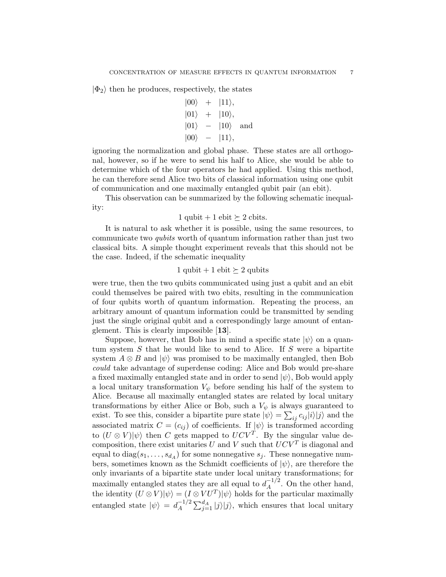$|\Phi_2\rangle$  then he produces, respectively, the states

$$
\begin{array}{rcl}\n\vert 00\rangle & + & \vert 11\rangle, \\
\vert 01\rangle & + & \vert 10\rangle, \\
\vert 01\rangle & - & \vert 10\rangle \quad \text{and} \\
\vert 00\rangle & - & \vert 11\rangle,\n\end{array}
$$

ignoring the normalization and global phase. These states are all orthogonal, however, so if he were to send his half to Alice, she would be able to determine which of the four operators he had applied. Using this method, he can therefore send Alice two bits of classical information using one qubit of communication and one maximally entangled qubit pair (an ebit).

This observation can be summarized by the following schematic inequality:

1 qubit + 1 ebit 
$$
\succeq
$$
 2 cbits.

It is natural to ask whether it is possible, using the same resources, to communicate two qubits worth of quantum information rather than just two classical bits. A simple thought experiment reveals that this should not be the case. Indeed, if the schematic inequality

## 1 qubit + 1 ebit  $\succeq$  2 qubits

were true, then the two qubits communicated using just a qubit and an ebit could themselves be paired with two ebits, resulting in the communication of four qubits worth of quantum information. Repeating the process, an arbitrary amount of quantum information could be transmitted by sending just the single original qubit and a correspondingly large amount of entanglement. This is clearly impossible [13].

Suppose, however, that Bob has in mind a specific state  $|\psi\rangle$  on a quantum system  $S$  that he would like to send to Alice. If  $S$  were a bipartite system  $A \otimes B$  and  $|\psi\rangle$  was promised to be maximally entangled, then Bob could take advantage of superdense coding: Alice and Bob would pre-share a fixed maximally entangled state and in order to send  $|\psi\rangle$ , Bob would apply a local unitary transformation  $V_{\psi}$  before sending his half of the system to Alice. Because all maximally entangled states are related by local unitary transformations by either Alice or Bob, such a  $V_{\psi}$  is always guaranteed to exist. To see this, consider a bipartite pure state  $|\psi\rangle = \sum_{ij} c_{ij} |i\rangle |j\rangle$  and the associated matrix  $C = (c_{ij})$  of coefficients. If  $|\psi\rangle$  is transformed according to  $(U \otimes V)|\psi\rangle$  then C gets mapped to  $UCV^T$ . By the singular value decomposition, there exist unitaries U and V such that  $UCV<sup>T</sup>$  is diagonal and equal to  $diag(s_1, \ldots, s_{d_A})$  for some nonnegative  $s_j$ . These nonnegative numbers, sometimes known as the Schmidt coefficients of  $|\psi\rangle$ , are therefore the only invariants of a bipartite state under local unitary transformations; for maximally entangled states they are all equal to  $d_A^{-1/2}$  $A^{1/2}$ . On the other hand, the identity  $(U \otimes V)|\psi\rangle = (I \otimes VU^{T})|\psi\rangle$  holds for the particular maximally entangled state  $|\psi\rangle = d_A^{-1/2}$  $\sum_{A}^{-1/2} \sum_{j=1}^{d_A} |j\rangle |j\rangle$ , which ensures that local unitary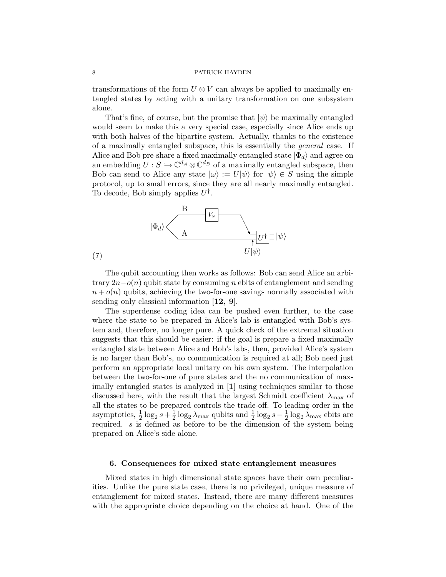transformations of the form  $U \otimes V$  can always be applied to maximally entangled states by acting with a unitary transformation on one subsystem alone.

That's fine, of course, but the promise that  $|\psi\rangle$  be maximally entangled would seem to make this a very special case, especially since Alice ends up with both halves of the bipartite system. Actually, thanks to the existence of a maximally entangled subspace, this is essentially the general case. If Alice and Bob pre-share a fixed maximally entangled state  $|\Phi_d\rangle$  and agree on an embedding  $U : S \hookrightarrow \mathbb{C}^{d_A} \otimes \mathbb{C}^{d_B}$  of a maximally entangled subspace, then Bob can send to Alice any state  $|\omega\rangle := U|\psi\rangle$  for  $|\psi\rangle \in S$  using the simple protocol, up to small errors, since they are all nearly maximally entangled. To decode, Bob simply applies  $U^{\dagger}$ .



(7)

The qubit accounting then works as follows: Bob can send Alice an arbitrary  $2n-o(n)$  qubit state by consuming n ebits of entanglement and sending  $n + o(n)$  qubits, achieving the two-for-one savings normally associated with sending only classical information  $[12, 9]$ .

The superdense coding idea can be pushed even further, to the case where the state to be prepared in Alice's lab is entangled with Bob's system and, therefore, no longer pure. A quick check of the extremal situation suggests that this should be easier: if the goal is prepare a fixed maximally entangled state between Alice and Bob's labs, then, provided Alice's system is no larger than Bob's, no communication is required at all; Bob need just perform an appropriate local unitary on his own system. The interpolation between the two-for-one of pure states and the no communication of maximally entangled states is analyzed in [1] using techniques similar to those discussed here, with the result that the largest Schmidt coefficient  $\lambda_{\text{max}}$  of all the states to be prepared controls the trade-off. To leading order in the asymptotics,  $\frac{1}{2} \log_2 s + \frac{1}{2}$  $\frac{1}{2} \log_2 \lambda_{\text{max}}$  qubits and  $\frac{1}{2} \log_2 s - \frac{1}{2}$  $\frac{1}{2} \log_2 \lambda_{\text{max}}$  ebits are required. s is defined as before to be the dimension of the system being prepared on Alice's side alone.

### 6. Consequences for mixed state entanglement measures

Mixed states in high dimensional state spaces have their own peculiarities. Unlike the pure state case, there is no privileged, unique measure of entanglement for mixed states. Instead, there are many different measures with the appropriate choice depending on the choice at hand. One of the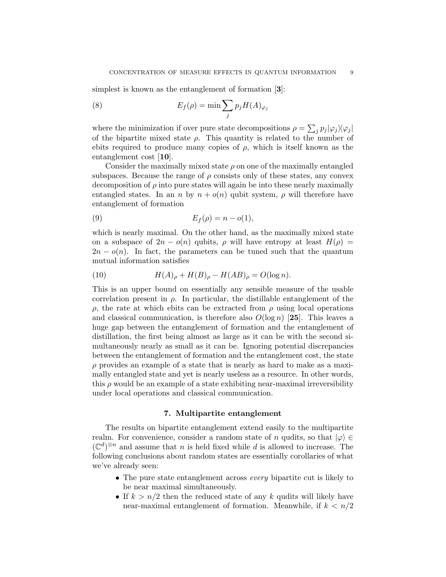simplest is known as the entanglement of formation [3]:

(8) 
$$
E_f(\rho) = \min \sum_j p_j H(A)_{\varphi_j}
$$

where the minimization if over pure state decompositions  $\rho = \sum_j p_j |\varphi_j\rangle\langle\varphi_j|$ of the bipartite mixed state  $\rho$ . This quantity is related to the number of ebits required to produce many copies of  $\rho$ , which is itself known as the entanglement cost [10].

Consider the maximally mixed state  $\rho$  on one of the maximally entangled subspaces. Because the range of  $\rho$  consists only of these states, any convex decomposition of  $\rho$  into pure states will again be into these nearly maximally entangled states. In an n by  $n + o(n)$  qubit system,  $\rho$  will therefore have entanglement of formation

$$
(9) \t\t\t E_f(\rho) = n - o(1),
$$

which is nearly maximal. On the other hand, as the maximally mixed state on a subspace of  $2n - o(n)$  qubits,  $\rho$  will have entropy at least  $H(\rho) =$  $2n - o(n)$ . In fact, the parameters can be tuned such that the quantum mutual information satisfies

(10) 
$$
H(A)_{\rho} + H(B)_{\rho} - H(AB)_{\rho} = O(\log n).
$$

This is an upper bound on essentially any sensible measure of the usable correlation present in  $\rho$ . In particular, the distillable entanglement of the ρ, the rate at which ebits can be extracted from ρ using local operations and classical communication, is therefore also  $O(\log n)$  [25]. This leaves a huge gap between the entanglement of formation and the entanglement of distillation, the first being almost as large as it can be with the second simultaneously nearly as small as it can be. Ignoring potential discrepancies between the entanglement of formation and the entanglement cost, the state  $\rho$  provides an example of a state that is nearly as hard to make as a maximally entangled state and yet is nearly useless as a resource. In other words, this  $\rho$  would be an example of a state exhibiting near-maximal irreversibility under local operations and classical communication.

#### 7. Multipartite entanglement

The results on bipartite entanglement extend easily to the multipartite realm. For convenience, consider a random state of n qudits, so that  $|\varphi\rangle \in$  $(\mathbb{C}^d)^{\otimes n}$  and assume that n is held fixed while d is allowed to increase. The following conclusions about random states are essentially corollaries of what we've already seen:

- The pure state entanglement across *every* bipartite cut is likely to be near maximal simultaneously.
- If  $k > n/2$  then the reduced state of any k qudits will likely have near-maximal entanglement of formation. Meanwhile, if  $k < n/2$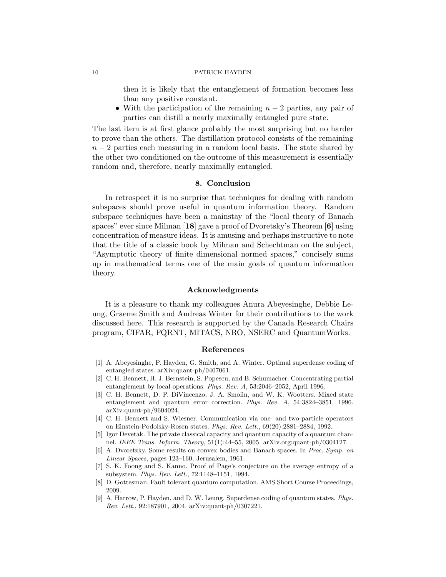then it is likely that the entanglement of formation becomes less than any positive constant.

• With the participation of the remaining  $n-2$  parties, any pair of parties can distill a nearly maximally entangled pure state.

The last item is at first glance probably the most surprising but no harder to prove than the others. The distillation protocol consists of the remaining  $n-2$  parties each measuring in a random local basis. The state shared by the other two conditioned on the outcome of this measurement is essentially random and, therefore, nearly maximally entangled.

### 8. Conclusion

In retrospect it is no surprise that techniques for dealing with random subspaces should prove useful in quantum information theory. Random subspace techniques have been a mainstay of the "local theory of Banach spaces" ever since Milman [18] gave a proof of Dvoretsky's Theorem [6] using concentration of measure ideas. It is amusing and perhaps instructive to note that the title of a classic book by Milman and Schechtman on the subject, "Asymptotic theory of finite dimensional normed spaces," concisely sums up in mathematical terms one of the main goals of quantum information theory.

### Acknowledgments

It is a pleasure to thank my colleagues Anura Abeyesinghe, Debbie Leung, Graeme Smith and Andreas Winter for their contributions to the work discussed here. This research is supported by the Canada Research Chairs program, CIFAR, FQRNT, MITACS, NRO, NSERC and QuantumWorks.

#### References

- [1] A. Abeyesinghe, P. Hayden, G. Smith, and A. Winter. Optimal superdense coding of entangled states. arXiv:quant-ph/0407061.
- [2] C. H. Bennett, H. J. Bernstein, S. Popescu, and B. Schumacher. Concentrating partial entanglement by local operations. Phys. Rev. A, 53:2046–2052, April 1996.
- [3] C. H. Bennett, D. P. DiVincenzo, J. A. Smolin, and W. K. Wootters. Mixed state entanglement and quantum error correction. Phys. Rev. A, 54:3824–3851, 1996. arXiv:quant-ph/9604024.
- [4] C. H. Bennett and S. Wiesner. Communication via one- and two-particle operators on Einstein-Podolsky-Rosen states. Phys. Rev. Lett., 69(20):2881–2884, 1992.
- [5] Igor Devetak. The private classical capacity and quantum capacity of a quantum channel. IEEE Trans. Inform. Theory, 51(1):44–55, 2005. arXiv.org:quant-ph/0304127.
- [6] A. Dvoretzky. Some results on convex bodies and Banach spaces. In Proc. Symp. on Linear Spaces, pages 123–160, Jerusalem, 1961.
- [7] S. K. Foong and S. Kanno. Proof of Page's conjecture on the average entropy of a subsystem. Phys. Rev. Lett., 72:1148–1151, 1994.
- [8] D. Gottesman. Fault tolerant quantum computation. AMS Short Course Proceedings, 2009.
- [9] A. Harrow, P. Hayden, and D. W. Leung. Superdense coding of quantum states. Phys. Rev. Lett., 92:187901, 2004. arXiv:quant-ph/0307221.